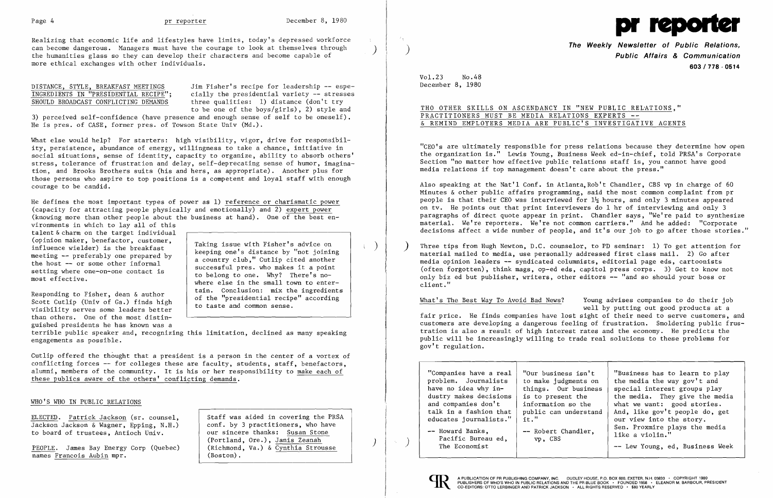$\left( \right)$ 

 $\left( \begin{array}{c} \end{array} \right)$ 



Realizing that economic life and lifestyles have limits, today's depressed workforce can become dangerous. Managers must have the courage to look at themselves through the humanities glass so they can develop their characters and become capable of more ethical exchanges with other individuals.

> Jim Fisher's recipe for leadership -- especially the presidential variety  $-$  stresses three qualities: 1) distance (don't try to be one of the boys/girls), 2) style and

## DISTANCE, STYLE, BREAKFAST MEETINGS INGREDIENTS IN "PRESIDENTIAL RECIPE"; SHOULD BROADCAST CONFLICTING DEMANDS

3) perceived self-confidence (have presence and enough sense of self to be oneself). He is pres. of CASE, former pres. of Towson State Univ (Md.).

What else would help? For starters: high visibility, vigor, drive for responsibility, persistence, abundance of energy, willingness to take a chance, initiative in social situations, sense of identity, capacity to organize, ability to absorb others' stress, tolerance of frustration and delay, self-deprecating sense of humor, imagination, and Brooks Brothers suits (his and hers, as appropriate). Another plus for those persons who aspire to top positions is a competent and loyal staff with enough courage to be candid.

terrible public speaker and, recognizing this limitation, declined as many speaking engagements as possible.

He defines the most important types of power as 1) reference or charismatic power (capacity for attracting people physically and emotionally) and 2) expert power (knowing more than other people about the business at hand). One of the best en-

> Taking issue with Fisher's advice on keeping one's distance by "not joining a country club," Cutlip cited another successful pres. who makes it a point to belong to one. Why? There's nowhere else in the small town to entertain. Conclusion: mix the ingredients of the "presidential recipe" according to taste and common sense.

The Weekly Newsletter of Public Relations,<br>Public Affairs & Communication 603/778·0514

 $Vol.23$ No.48 December 8, 1980

# THO OTHER SKILLS ON ASCENDANCY IN "NEW PUBLIC RELATIONS," PRACTITIONERS MUST BE MEDIA RELATIONS EXPERTS --& REMIND EMPLOYERS MEDIA ARE PUBLIC'S INVESTIGATIVE AGENTS

Responding to Fisher, dean & author Scott Cutlip (Univ of Ga.) finds high visibility serves some leaders better than others. One of the most distinguished presidents he has known was a

vironments in which to lay all of this talent &charm on the target individual (opinion maker, benefactor, customer, influence wielder) is the breakfast meeting  $-$  preferably one prepared by the host  $-$  or some other informal setting where one-on-one contact is most effective.

Three tips from Hugh Newton, D.C. counselor, to PD seminar:  $1)$  To get attention for material mailed to media, use personally addressed first class mail. 2) Go after media opinion leaders -- syndicated columnists, editorial page eds, cartoonists (often forgotten), think mags, op-ed eds, capitol press corps. 3) Get to know not only biz ed but publisher, writers, other editors -- "and so should your boss or client."

Cutlip offered the thought that a president is a person in the center of a vortex of conflicting forces - for colleges these are faculty, students, staff, benefactors, alumni, members of the community. It is his or her responsibility to make each of these publics aware of the others' conflicting demands.

### WHO'S WHO IN PUBLIC RELATIONS

PEOPLE. James Bay Energy Corp (Quebec) names Francois Aubin mpr.

ELECTED. Patrick Jackson (sr. counsel, Jackson Jackson & Wagner, Epping, N.H.) to board of trustees, Antioch Univ.

Staff was aided in covering the PRSA conf. by 3 practitioners, who have our sincere thanks: Susan Stone (Portland, Ore.), Janis Zeanah (Richmond, Va.) & Cynthia Strousse (Boston) .

)

 $\eta_{\rm c}$ 

"CEO's are ultimately responsible for press relations because they determine how open the organization is." Lewis Young, Business Week ed-in-chief, told PRSA's Corporate Section "no matter how effective public relations staff is, you cannot have good media relations if top management doesn't care about the press."

Also speaking at the Nat'l Conf. in Atlanta,Rob't Chandler, CBS vp in charge of 60 Minutes & other public affairs programming, said the most common complaint from pr people is that their CEO was interviewed for  $1\frac{1}{2}$  hours, and only 3 minutes appeared on tv. He points out that print interviewers do 1 hr of interviewing and only 3 paragraphs of direct quote appear in print. Chandler says, "We're paid to synthesize material. We're reporters. We're not common carriers." And he added: "Corporate decisions affect a wide number of people, and it's our job to go after those stories."

What's The Best Way To Avoid Bad News? Young advises companies to do their job well by putting out good products at a fair price. He finds companies have lost sight of their need to serve customers, and customers are developing a dangerous feeling of frustration. Smoldering public frustration is also a result of high interest rates and the economy. He predicts the public will be increasingly willing to trade real solutions to these problems for gov't regulation.

| "Companies have a real<br>problem. Journalists<br>have no idea why in-<br>dustry makes decisions<br>and companies don't<br>talk in a fashion that<br>educates journalists."<br>-- Howard Banks,<br>Pacific Bureau ed,<br>The Economist | "Our business isn't<br>to make judgments on<br>things. Our business<br>is to present the<br>information so the<br>public can understand<br>$it.$ "<br>-- Robert Chandler,<br>vp, CBS | "Business has to learn to play<br>the media the way gov't and<br>special interest groups play<br>the media. They give the media<br>what we want: good stories.<br>And, like gov't people do, get<br>our view into the story.<br>Sen. Proxmire plays the media<br>like a violin."<br>-- Lew Young, ed, Business Week |
|----------------------------------------------------------------------------------------------------------------------------------------------------------------------------------------------------------------------------------------|--------------------------------------------------------------------------------------------------------------------------------------------------------------------------------------|---------------------------------------------------------------------------------------------------------------------------------------------------------------------------------------------------------------------------------------------------------------------------------------------------------------------|
|----------------------------------------------------------------------------------------------------------------------------------------------------------------------------------------------------------------------------------------|--------------------------------------------------------------------------------------------------------------------------------------------------------------------------------------|---------------------------------------------------------------------------------------------------------------------------------------------------------------------------------------------------------------------------------------------------------------------------------------------------------------------|